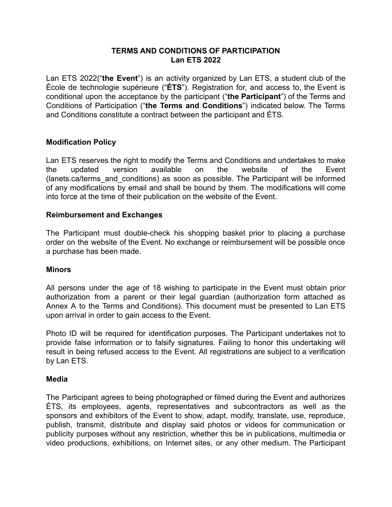## **TERMS AND CONDITIONS OF PARTICIPATION Lan ETS 2022**

Lan ETS 2022("**the Event**") is an activity organized by Lan ETS, a student club of the École de technologie supérieure ("**ÉTS**"). Registration for, and access to, the Event is conditional upon the acceptance by the participant ("**the Participant**") of the Terms and Conditions of Participation ("**the Terms and Conditions**") indicated below. The Terms and Conditions constitute a contract between the participant and ÉTS.

## **Modification Policy**

Lan ETS reserves the right to modify the Terms and Conditions and undertakes to make the updated version available on the website of the Event (lanets.ca/terms\_and\_conditions) as soon as possible. The Participant will be informed of any modifications by email and shall be bound by them. The modifications will come into force at the time of their publication on the website of the Event.

### **Reimbursement and Exchanges**

The Participant must double-check his shopping basket prior to placing a purchase order on the website of the Event. No exchange or reimbursement will be possible once a purchase has been made.

### **Minors**

All persons under the age of 18 wishing to participate in the Event must obtain prior authorization from a parent or their legal guardian (authorization form attached as Annex A to the Terms and Conditions). This document must be presented to Lan ETS upon arrival in order to gain access to the Event.

Photo ID will be required for identification purposes. The Participant undertakes not to provide false information or to falsify signatures. Failing to honor this undertaking will result in being refused access to the Event. All registrations are subject to a verification by Lan ETS.

### **Media**

The Participant agrees to being photographed or filmed during the Event and authorizes ÉTS, its employees, agents, representatives and subcontractors as well as the sponsors and exhibitors of the Event to show, adapt, modify, translate, use, reproduce, publish, transmit, distribute and display said photos or videos for communication or publicity purposes without any restriction, whether this be in publications, multimedia or video productions, exhibitions, on Internet sites, or any other medium. The Participant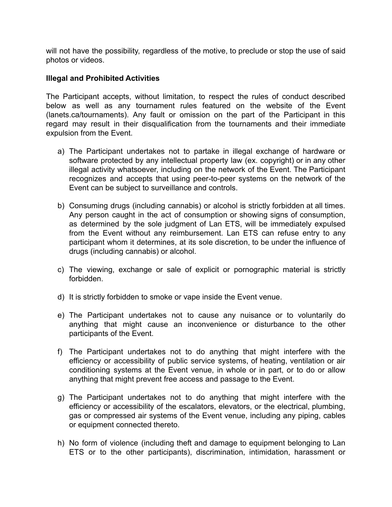will not have the possibility, regardless of the motive, to preclude or stop the use of said photos or videos.

### **Illegal and Prohibited Activities**

The Participant accepts, without limitation, to respect the rules of conduct described below as well as any tournament rules featured on the website of the Event (lanets.ca/tournaments). Any fault or omission on the part of the Participant in this regard may result in their disqualification from the tournaments and their immediate expulsion from the Event.

- a) The Participant undertakes not to partake in illegal exchange of hardware or software protected by any intellectual property law (ex. copyright) or in any other illegal activity whatsoever, including on the network of the Event. The Participant recognizes and accepts that using peer-to-peer systems on the network of the Event can be subject to surveillance and controls.
- b) Consuming drugs (including cannabis) or alcohol is strictly forbidden at all times. Any person caught in the act of consumption or showing signs of consumption, as determined by the sole judgment of Lan ETS, will be immediately expulsed from the Event without any reimbursement. Lan ETS can refuse entry to any participant whom it determines, at its sole discretion, to be under the influence of drugs (including cannabis) or alcohol.
- c) The viewing, exchange or sale of explicit or pornographic material is strictly forbidden.
- d) It is strictly forbidden to smoke or vape inside the Event venue.
- e) The Participant undertakes not to cause any nuisance or to voluntarily do anything that might cause an inconvenience or disturbance to the other participants of the Event.
- f) The Participant undertakes not to do anything that might interfere with the efficiency or accessibility of public service systems, of heating, ventilation or air conditioning systems at the Event venue, in whole or in part, or to do or allow anything that might prevent free access and passage to the Event.
- g) The Participant undertakes not to do anything that might interfere with the efficiency or accessibility of the escalators, elevators, or the electrical, plumbing, gas or compressed air systems of the Event venue, including any piping, cables or equipment connected thereto.
- h) No form of violence (including theft and damage to equipment belonging to Lan ETS or to the other participants), discrimination, intimidation, harassment or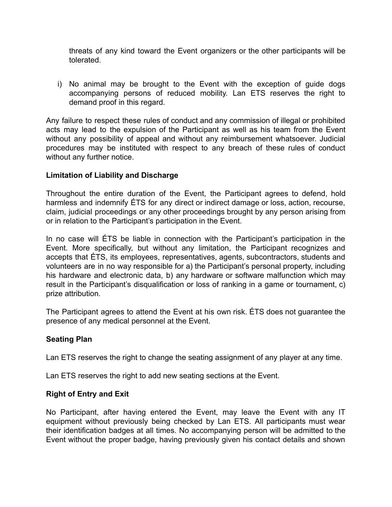threats of any kind toward the Event organizers or the other participants will be tolerated.

i) No animal may be brought to the Event with the exception of guide dogs accompanying persons of reduced mobility. Lan ETS reserves the right to demand proof in this regard.

Any failure to respect these rules of conduct and any commission of illegal or prohibited acts may lead to the expulsion of the Participant as well as his team from the Event without any possibility of appeal and without any reimbursement whatsoever. Judicial procedures may be instituted with respect to any breach of these rules of conduct without any further notice.

## **Limitation of Liability and Discharge**

Throughout the entire duration of the Event, the Participant agrees to defend, hold harmless and indemnify ÉTS for any direct or indirect damage or loss, action, recourse, claim, judicial proceedings or any other proceedings brought by any person arising from or in relation to the Participant's participation in the Event.

In no case will ÉTS be liable in connection with the Participant's participation in the Event. More specifically, but without any limitation, the Participant recognizes and accepts that ÉTS, its employees, representatives, agents, subcontractors, students and volunteers are in no way responsible for a) the Participant's personal property, including his hardware and electronic data, b) any hardware or software malfunction which may result in the Participant's disqualification or loss of ranking in a game or tournament, c) prize attribution.

The Participant agrees to attend the Event at his own risk. ÉTS does not guarantee the presence of any medical personnel at the Event.

### **Seating Plan**

Lan ETS reserves the right to change the seating assignment of any player at any time.

Lan ETS reserves the right to add new seating sections at the Event.

### **Right of Entry and Exit**

No Participant, after having entered the Event, may leave the Event with any IT equipment without previously being checked by Lan ETS. All participants must wear their identification badges at all times. No accompanying person will be admitted to the Event without the proper badge, having previously given his contact details and shown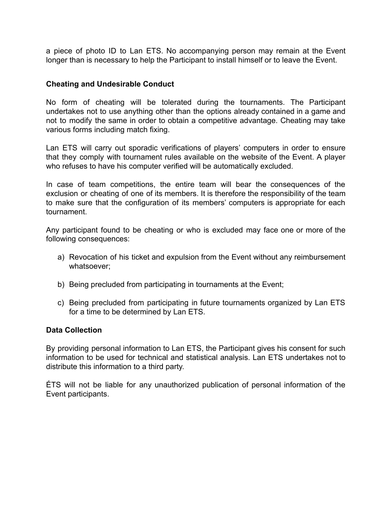a piece of photo ID to Lan ETS. No accompanying person may remain at the Event longer than is necessary to help the Participant to install himself or to leave the Event.

#### **Cheating and Undesirable Conduct**

No form of cheating will be tolerated during the tournaments. The Participant undertakes not to use anything other than the options already contained in a game and not to modify the same in order to obtain a competitive advantage. Cheating may take various forms including match fixing.

Lan ETS will carry out sporadic verifications of players' computers in order to ensure that they comply with tournament rules available on the website of the Event. A player who refuses to have his computer verified will be automatically excluded.

In case of team competitions, the entire team will bear the consequences of the exclusion or cheating of one of its members. It is therefore the responsibility of the team to make sure that the configuration of its members' computers is appropriate for each tournament.

Any participant found to be cheating or who is excluded may face one or more of the following consequences:

- a) Revocation of his ticket and expulsion from the Event without any reimbursement whatsoever;
- b) Being precluded from participating in tournaments at the Event;
- c) Being precluded from participating in future tournaments organized by Lan ETS for a time to be determined by Lan ETS.

#### **Data Collection**

By providing personal information to Lan ETS, the Participant gives his consent for such information to be used for technical and statistical analysis. Lan ETS undertakes not to distribute this information to a third party.

ÉTS will not be liable for any unauthorized publication of personal information of the Event participants.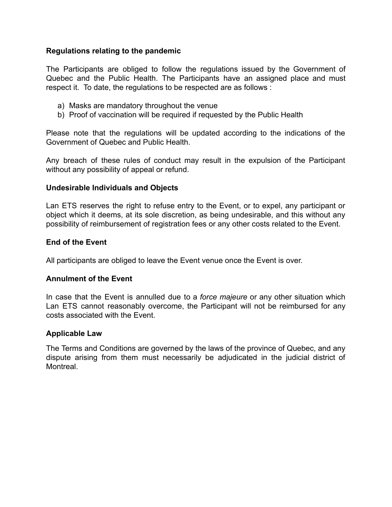### **Regulations relating to the pandemic**

The Participants are obliged to follow the regulations issued by the Government of Quebec and the Public Health. The Participants have an assigned place and must respect it. To date, the regulations to be respected are as follows :

- a) Masks are mandatory throughout the venue
- b) Proof of vaccination will be required if requested by the Public Health

Please note that the regulations will be updated according to the indications of the Government of Quebec and Public Health.

Any breach of these rules of conduct may result in the expulsion of the Participant without any possibility of appeal or refund.

### **Undesirable Individuals and Objects**

Lan ETS reserves the right to refuse entry to the Event, or to expel, any participant or object which it deems, at its sole discretion, as being undesirable, and this without any possibility of reimbursement of registration fees or any other costs related to the Event.

### **End of the Event**

All participants are obliged to leave the Event venue once the Event is over.

### **Annulment of the Event**

In case that the Event is annulled due to a *force majeure* or any other situation which Lan ETS cannot reasonably overcome, the Participant will not be reimbursed for any costs associated with the Event.

### **Applicable Law**

The Terms and Conditions are governed by the laws of the province of Quebec, and any dispute arising from them must necessarily be adjudicated in the judicial district of **Montreal**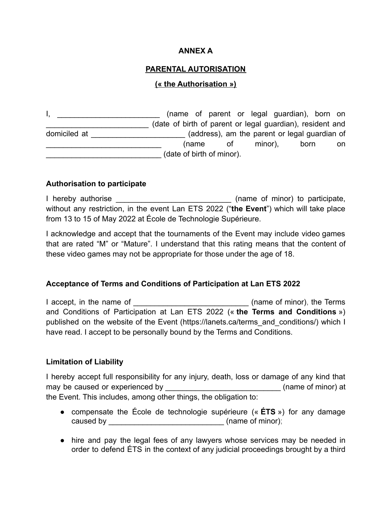## **ANNEX A**

# **PARENTAL AUTORISATION**

## **(« the Authorisation »)**

I, \_\_\_\_\_\_\_\_\_\_\_\_\_\_\_\_\_\_\_\_\_\_\_\_\_\_\_\_(name of parent or legal guardian), born on \_\_\_\_\_\_\_\_\_\_\_\_\_\_\_\_\_\_\_\_\_\_\_\_ (date of birth of parent or legal guardian), resident and domiciled at  $\qquad \qquad$  (address), am the parent or legal guardian of (name of minor), born on \_\_\_\_\_\_\_\_\_\_\_\_\_\_\_\_\_\_\_\_\_\_\_\_\_\_\_ (date of birth of minor).

### **Authorisation to participate**

I hereby authorise \_\_\_\_\_\_\_\_\_\_\_\_\_\_\_\_\_\_\_\_\_\_\_\_\_\_\_\_\_\_\_\_\_ (name of minor) to participate, without any restriction, in the event Lan ETS 2022 ("**the Event**") which will take place from 13 to 15 of May 2022 at École de Technologie Supérieure.

I acknowledge and accept that the tournaments of the Event may include video games that are rated "M" or "Mature". I understand that this rating means that the content of these video games may not be appropriate for those under the age of 18.

### **Acceptance of Terms and Conditions of Participation at Lan ETS 2022**

I accept, in the name of **Example 2** (name of minor), the Terms and Conditions of Participation at Lan ETS 2022 (« **the Terms and Conditions** ») published on the website of the Event (https://lanets.ca/terms\_and\_conditions/) which I have read. I accept to be personally bound by the Terms and Conditions.

### **Limitation of Liability**

I hereby accept full responsibility for any injury, death, loss or damage of any kind that may be caused or experienced by \_\_\_\_\_\_\_\_\_\_\_\_\_\_\_\_\_\_\_\_\_\_\_\_\_\_\_\_\_(name of minor) at the Event. This includes, among other things, the obligation to:

- compensate the École de technologie supérieure (« **ÉTS** ») for any damage caused by \_\_\_\_\_\_\_\_\_\_\_\_\_\_\_\_\_\_\_\_\_\_\_\_\_\_\_\_\_\_\_\_(name of minor);
- hire and pay the legal fees of any lawyers whose services may be needed in order to defend ÉTS in the context of any judicial proceedings brought by a third